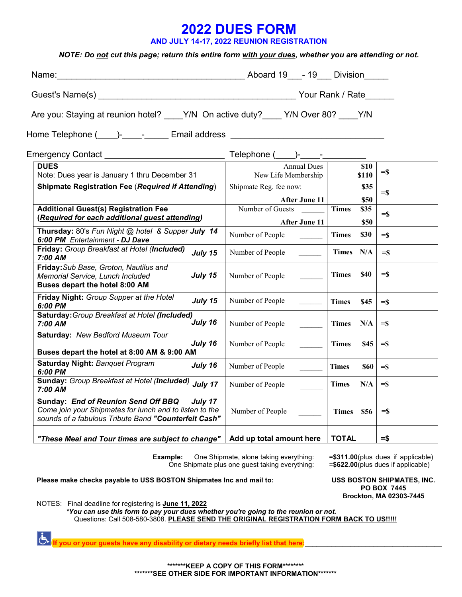## **2022 DUES FORM**

**AND JULY 14-17, 2022 REUNION REGISTRATION** 

## *NOTE: Do not cut this page; return this entire form with your dues, whether you are attending or not.*

| Name: Division 2014 Manual Aboard 19 - 19 Division                                                                                                                      |                                                                                   |                               |                   |
|-------------------------------------------------------------------------------------------------------------------------------------------------------------------------|-----------------------------------------------------------------------------------|-------------------------------|-------------------|
|                                                                                                                                                                         |                                                                                   |                               |                   |
| Are you: Staying at reunion hotel? ____Y/N On active duty? ___ Y/N Over 80? ____Y/N<br>Home Telephone (____)-_____-______ Email address _______________________________ |                                                                                   |                               |                   |
|                                                                                                                                                                         |                                                                                   |                               |                   |
|                                                                                                                                                                         |                                                                                   |                               |                   |
| Note: Dues year is January 1 thru December 31                                                                                                                           | New Life Membership                                                               | \$10<br>\$110                 | $=$ \$            |
| <b>Shipmate Registration Fee (Required if Attending)</b>                                                                                                                | Shipmate Reg. fee now:                                                            | \$35                          |                   |
|                                                                                                                                                                         | After June 11                                                                     | \$50                          | $=$ $\frac{1}{2}$ |
| <b>Additional Guest(s) Registration Fee</b>                                                                                                                             | Number of Guests                                                                  | <b>Times</b><br>\$35          |                   |
| (Required for each additional guest attending)                                                                                                                          |                                                                                   |                               | $=$ \$            |
| Thursday: 80's Fun Night @ hotel & Supper July 14<br>6:00 PM Entertainment - DJ Dave                                                                                    | After June 11<br>Number of People                                                 | \$50<br>\$30<br><b>Times</b>  | $=$ \$            |
| Friday: Group Breakfast at Hotel (Included)<br>July 15<br>7:00 AM                                                                                                       | Number of People                                                                  | Times N/A                     | $=$ \$            |
| Friday: Sub Base, Groton, Nautilus and<br>July 15<br>Memorial Service, Lunch Included<br>Buses depart the hotel 8:00 AM                                                 | Number of People                                                                  | Times \$40                    | $=$ s             |
| Friday Night: Group Supper at the Hotel<br>July 15<br>6:00 PM                                                                                                           | Number of People                                                                  | <b>Times</b><br>\$45          | $=$ \$            |
| Saturday: Group Breakfast at Hotel (Included)<br>July 16<br>7:00 AM                                                                                                     | Number of People                                                                  | Times N/A                     | $=$ $\sim$        |
| Saturday: New Bedford Museum Tour<br>July 16<br>Buses depart the hotel at 8:00 AM & 9:00 AM                                                                             | Number of People                                                                  | <b>Times</b><br><b>S45</b>    | $=$ s             |
| <b>Saturday Night: Banquet Program</b><br>July 16<br>6:00 PM                                                                                                            | Number of People                                                                  | <b>Times</b><br>$\$60$ = $\$$ |                   |
| Sunday: Group Breakfast at Hotel (Included) July 17<br>7:00 AM                                                                                                          | Number of People<br>$\frac{1}{2}$ , $\frac{1}{2}$ , $\frac{1}{2}$ , $\frac{1}{2}$ | Times N/A                     | $=$ s             |
| Sunday: End of Reunion Send Off BBQ<br>July 17<br>Come join your Shipmates for lunch and to listen to the<br>sounds of a fabulous Tribute Band "Counterfeit Cash"       | Number of People                                                                  | Times \$56                    | $=$ $\frac{1}{2}$ |
| "These Meal and Tour times are subject to change"                                                                                                                       | Add up total amount here                                                          | <b>TOTAL</b>                  | $=$ \$            |

**Example:** One Shipmate, alone taking everything: One Shipmate plus one guest taking everything: =**\$311.00**(plus dues if applicable) =**\$622.00**(plus dues if applicable)

**Please make checks payable to USS BOSTON Shipmates Inc and mail to:**

**USS BOSTON SHIPMATES, INC. PO BOX 7445 Brockton, MA 02303-7445** 

NOTES: Final deadline for registering is **June 11, 2022**

*\*You can use this form to pay your dues whether you're going to the reunion or not.* Questions: Call 508-580-3808. **PLEASE SEND THE ORIGINAL REGISTRATION FORM BACK TO US!!!!!**

 $|\dot{\mathbf{t}}|$ **If you or your guests have any disability or dietary needs briefly list that here:**\_\_\_\_\_\_\_\_\_\_\_\_\_\_\_\_\_\_\_\_\_\_\_\_\_\_\_\_\_\_\_\_\_\_\_\_

> **\*\*\*\*\*\*\*KEEP A COPY OF THIS FORM\*\*\*\*\*\*\*\* \*\*\*\*\*\*\*SEE OTHER SIDE FOR IMPORTANT INFORMATION\*\*\*\*\*\*\***